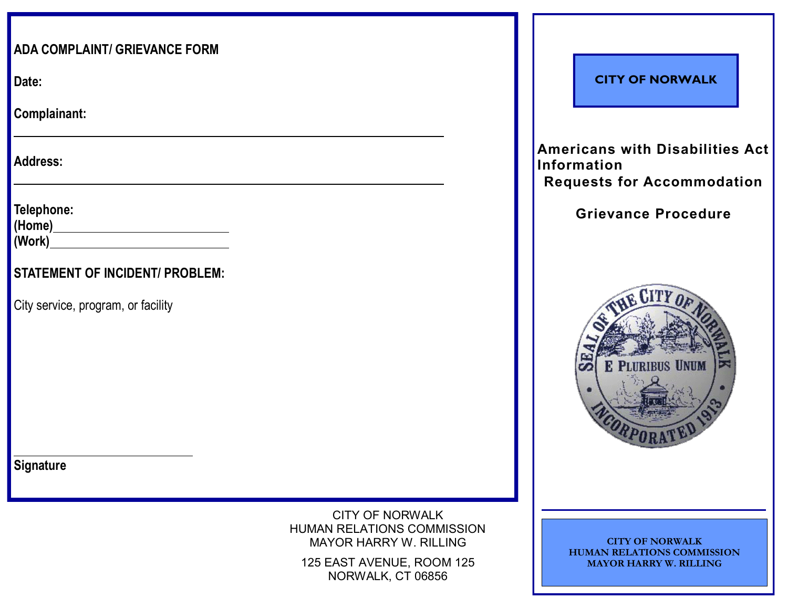| <b>ADA COMPLAINT/ GRIEVANCE FORM</b>   |                                                                                       |
|----------------------------------------|---------------------------------------------------------------------------------------|
| Date:                                  |                                                                                       |
| Complainant:                           |                                                                                       |
| <b>Address:</b>                        |                                                                                       |
| Telephone:<br>(Home <u>)</u><br>(Work) |                                                                                       |
| <b>STATEMENT OF INCIDENT/ PROBLEM:</b> |                                                                                       |
| City service, program, or facility     |                                                                                       |
|                                        |                                                                                       |
|                                        |                                                                                       |
|                                        |                                                                                       |
|                                        |                                                                                       |
| <b>Signature</b>                       |                                                                                       |
|                                        | <b>CITY OF NORWALK</b><br>HUMAN RELATIONS COMMISSION<br><b>MAYOR HARRY W. RILLING</b> |
|                                        | 125 EAST AVENUE, ROOM 125<br>NORWALK, CT 06856                                        |

#### **CITY OF NORWALK**

**Americans with Disabilities Act Information Requests for Accommodation** 

### **Grievance Procedure**



**CITY OF NORWALK HUMAN RELATIONS COMMISSION MAYOR HARRY W. RILLING**